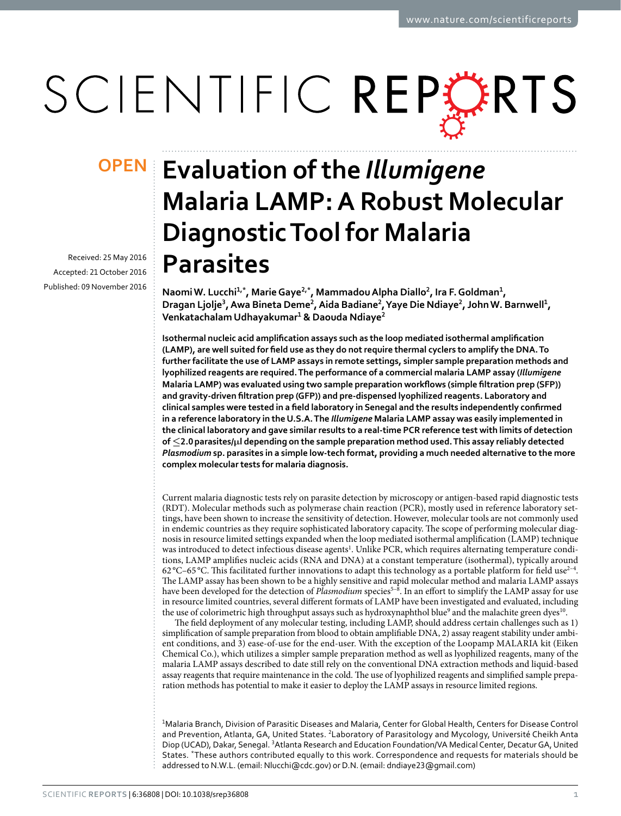# SCIENTIFIC REPERTS

Received: 25 May 2016 accepted: 21 October 2016 Published: 09 November 2016

## **Evaluation of the** *Illumigene* **OPENMalaria LAMP: A Robust Molecular Diagnostic Tool for Malaria Parasites**

**NaomiW. Lucchi<sup>1</sup>,\*, MarieGaye2,\*, MammadouAlpha Diallo<sup>2</sup>, Ira F.Goldman<sup>1</sup>, Dragan Ljolje<sup>3</sup>, Awa Bineta Deme<sup>2</sup>, Aida Badiane<sup>2</sup>, Yaye Die Ndiaye<sup>2</sup>, JohnW. Barnwell<sup>1</sup>, Venkatachalam Udhayakumar<sup>1</sup> & Daouda Ndiaye<sup>2</sup>**

**Isothermal nucleic acid amplification assays such as the loop mediated isothermal amplification (LAMP), are well suited for field use as they do not require thermal cyclers to amplify the DNA. To further facilitate the use of LAMP assays in remote settings, simpler sample preparation methods and lyophilized reagents are required. The performance of a commercial malaria LAMP assay (***Illumigene* **Malaria LAMP) was evaluated using two sample preparation workflows (simple filtration prep (SFP)) and gravity-driven filtration prep (GFP)) and pre-dispensed lyophilized reagents. Laboratory and clinical samples were tested in a field laboratory in Senegal and the results independently confirmed in a reference laboratory in the U.S.A. The** *Illumigene* **Malaria LAMP assay was easily implemented in the clinical laboratory and gave similar results to a real-time PCR reference test with limits of detection of ≤2.0parasites/μl depending on the sample preparation method used. This assay reliably detected**  *Plasmodium* **sp. parasites in a simple low-tech format, providing a much needed alternative to the more complex molecular tests for malaria diagnosis.**

Current malaria diagnostic tests rely on parasite detection by microscopy or antigen-based rapid diagnostic tests (RDT). Molecular methods such as polymerase chain reaction (PCR), mostly used in reference laboratory settings, have been shown to increase the sensitivity of detection. However, molecular tools are not commonly used in endemic countries as they require sophisticated laboratory capacity. The scope of performing molecular diagnosis in resource limited settings expanded when the loop mediated isothermal amplification (LAMP) technique was introduced to detect infectious disease agents<sup>1</sup>. Unlike PCR, which requires alternating temperature conditions, LAMP amplifies nucleic acids (RNA and DNA) at a constant temperature (isothermal), typically around 62 °C–65 °C. This facilitated further innovations to adapt this technology as a portable platform for field use<sup>2-4</sup>. The LAMP assay has been shown to be a highly sensitive and rapid molecular method and malaria LAMP assays have been developed for the detection of *Plasmodium* species<sup>5-8</sup>. In an effort to simplify the LAMP assay for use in resource limited countries, several different formats of LAMP have been investigated and evaluated, including the use of colorimetric high throughput assays such as hydroxynaphthol blue<sup>[9](#page-6-3)</sup> and the malachite green dyes<sup>[10](#page-6-4)</sup>.

The field deployment of any molecular testing, including LAMP, should address certain challenges such as 1) simplification of sample preparation from blood to obtain amplifiable DNA, 2) assay reagent stability under ambient conditions, and 3) ease-of-use for the end-user. With the exception of the Loopamp MALARIA kit (Eiken Chemical Co.), which utilizes a simpler sample preparation method as well as lyophilized reagents, many of the malaria LAMP assays described to date still rely on the conventional DNA extraction methods and liquid-based assay reagents that require maintenance in the cold. The use of lyophilized reagents and simplified sample preparation methods has potential to make it easier to deploy the LAMP assays in resource limited regions.

1 Malaria Branch, Division of Parasitic Diseases and Malaria, Center for Global Health, Centers for Disease Control and Prevention, Atlanta, GA, United States. <sup>2</sup>Laboratory of Parasitology and Mycology, Université Cheikh Anta Diop (UCAD), Dakar, Senegal. <sup>3</sup>Atlanta Research and Education Foundation/VA Medical Center, Decatur GA, United States. \*These authors contributed equally to this work. Correspondence and requests for materials should be addressed to N.W.L. (email: [Nlucchi@cdc.gov](mailto:Nlucchi@cdc.gov)) or D.N. (email: [dndiaye23@gmail.com](mailto:dndiaye23@gmail.com))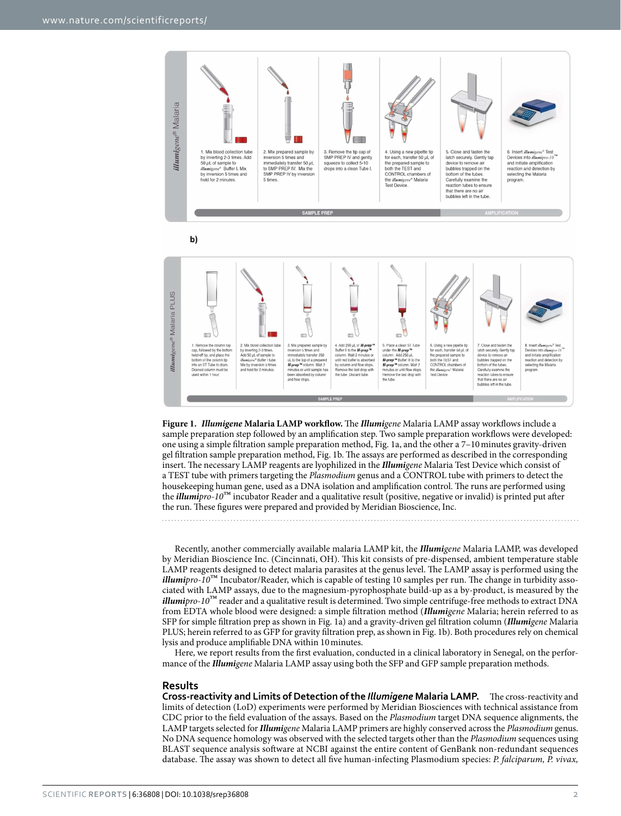

<span id="page-1-0"></span>**Figure 1.** *Illumigene* **Malaria LAMP workflow.** The *Illumigene* Malaria LAMP assay workflows include a sample preparation step followed by an amplification step. Two sample preparation workflows were developed: one using a simple filtration sample preparation method, Fig. 1a, and the other a 7–10minutes gravity-driven gel filtration sample preparation method, Fig. 1b. The assays are performed as described in the corresponding insert. The necessary LAMP reagents are lyophilized in the *Illumigene* Malaria Test Device which consist of a TEST tube with primers targeting the *Plasmodium* genus and a CONTROL tube with primers to detect the housekeeping human gene, used as a DNA isolation and amplification control. The runs are performed using the *illumipro-10*™ incubator Reader and a qualitative result (positive, negative or invalid) is printed put after the run. These figures were prepared and provided by Meridian Bioscience, Inc.

Recently, another commercially available malaria LAMP kit, the *Illumigene* Malaria LAMP, was developed by Meridian Bioscience Inc. (Cincinnati, OH). This kit consists of pre-dispensed, ambient temperature stable LAMP reagents designed to detect malaria parasites at the genus level. The LAMP assay is performed using the *illumipro-10*™ Incubator/Reader, which is capable of testing 10 samples per run. The change in turbidity associated with LAMP assays, due to the magnesium-pyrophosphate build-up as a by-product, is measured by the *illumipro-10*™ reader and a qualitative result is determined. Two simple centrifuge-free methods to extract DNA from EDTA whole blood were designed: a simple filtration method (*Illumigene* Malaria; herein referred to as SFP for simple filtration prep as shown in [Fig. 1a\)](#page-1-0) and a gravity-driven gel filtration column (*Illumigene* Malaria PLUS; herein referred to as GFP for gravity filtration prep, as shown in [Fig. 1b\)](#page-1-0). Both procedures rely on chemical lysis and produce amplifiable DNA within 10minutes.

Here, we report results from the first evaluation, conducted in a clinical laboratory in Senegal, on the performance of the *Illumigene* Malaria LAMP assay using both the SFP and GFP sample preparation methods.

#### **Results**

**Cross-reactivity and Limits of Detection of the** *Illumigene* **Malaria LAMP.** The cross-reactivity and limits of detection (LoD) experiments were performed by Meridian Biosciences with technical assistance from CDC prior to the field evaluation of the assays. Based on the *Plasmodium* target DNA sequence alignments, the LAMP targets selected for *Illumigene* Malaria LAMP primers are highly conserved across the *Plasmodium* genus. No DNA sequence homology was observed with the selected targets other than the *Plasmodium* sequences using BLAST sequence analysis software at NCBI against the entire content of GenBank non-redundant sequences database. The assay was shown to detect all five human-infecting Plasmodium species: *P. falciparum, P. vivax,*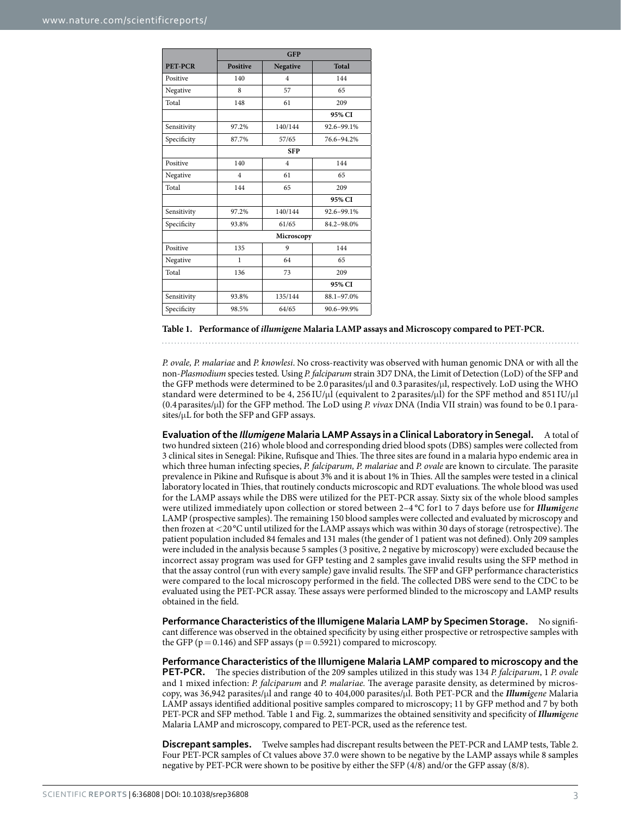<span id="page-2-0"></span>

|                | <b>GFP</b>      |                |              |  |  |
|----------------|-----------------|----------------|--------------|--|--|
| <b>PET-PCR</b> | <b>Positive</b> | Negative       | <b>Total</b> |  |  |
| Positive       | 140             | $\overline{4}$ | 144          |  |  |
| Negative       | 8               | 57             | 65           |  |  |
| Total          | 148             | 61             | 209          |  |  |
|                |                 |                | 95% CI       |  |  |
| Sensitivity    | 97.2%           | 140/144        | 92.6-99.1%   |  |  |
| Specificity    | 87.7%           | 57/65          | 76.6-94.2%   |  |  |
|                | <b>SFP</b>      |                |              |  |  |
| Positive       | 140             | $\overline{4}$ | 144          |  |  |
| Negative       | $\overline{4}$  | 61             | 65           |  |  |
| Total          | 144             | 65             | 209          |  |  |
|                |                 |                | 95% CI       |  |  |
| Sensitivity    | 97.2%           | 140/144        | 92.6-99.1%   |  |  |
| Specificity    | 93.8%           | 61/65          | 84.2-98.0%   |  |  |
|                | Microscopy      |                |              |  |  |
| Positive       | 135             | 9              | 144          |  |  |
| Negative       | 1               | 64             | 65           |  |  |
| Total          | 136             | 73             | 209          |  |  |
|                |                 |                | 95% CI       |  |  |
| Sensitivity    | 93.8%           | 135/144        | 88.1-97.0%   |  |  |
| Specificity    | 98.5%           | 64/65          | 90.6-99.9%   |  |  |

#### **Table 1. Performance of** *illumigen***e Malaria LAMP assays and Microscopy compared to PET-PCR.**

*P. ovale, P. malariae* and *P. knowlesi*. No cross-reactivity was observed with human genomic DNA or with all the non-*Plasmodium* species tested. Using *P. falciparum* strain 3D7 DNA, the Limit of Detection (LoD) of the SFP and the GFP methods were determined to be 2.0 parasites/μl and 0.3 parasites/μl, respectively. LoD using the WHO standard were determined to be 4, 256 IU/μl (equivalent to 2 parasites/μl) for the SPF method and 851 IU/μl (0.4 parasites/μl) for the GFP method. The LoD using *P. vivax* DNA (India VII strain) was found to be 0.1parasites/μL for both the SFP and GFP assays.

**Evaluation of the** *Illumigene* **Malaria LAMP Assays in a Clinical Laboratory in Senegal.** A total of two hundred sixteen (216) whole blood and corresponding dried blood spots (DBS) samples were collected from 3 clinical sites in Senegal: Pikine, Rufisque and Thies. The three sites are found in a malaria hypo endemic area in which three human infecting species, *P. falciparum, P. malariae* and *P. ovale* are known to circulate. The parasite prevalence in Pikine and Rufisque is about 3% and it is about 1% in Thies. All the samples were tested in a clinical laboratory located in Thies, that routinely conducts microscopic and RDT evaluations. The whole blood was used for the LAMP assays while the DBS were utilized for the PET-PCR assay. Sixty six of the whole blood samples were utilized immediately upon collection or stored between 2–4 °C for1 to 7 days before use for *Illumigene* LAMP (prospective samples). The remaining 150 blood samples were collected and evaluated by microscopy and then frozen at <20 °C until utilized for the LAMP assays which was within 30 days of storage (retrospective). The patient population included 84 females and 131 males (the gender of 1 patient was not defined). Only 209 samples were included in the analysis because 5 samples (3 positive, 2 negative by microscopy) were excluded because the incorrect assay program was used for GFP testing and 2 samples gave invalid results using the SFP method in that the assay control (run with every sample) gave invalid results. The SFP and GFP performance characteristics were compared to the local microscopy performed in the field. The collected DBS were send to the CDC to be evaluated using the PET-PCR assay. These assays were performed blinded to the microscopy and LAMP results obtained in the field.

**Performance Characteristics of the Illumigene Malaria LAMP by Specimen Storage.** No significant difference was observed in the obtained specificity by using either prospective or retrospective samples with the GFP ( $p=0.146$ ) and SFP assays ( $p=0.5921$ ) compared to microscopy.

**Performance Characteristics of the Illumigene Malaria LAMP compared to microscopy and the PET-PCR.** The species distribution of the 209 samples utilized in this study was 134 *P. falciparum*, 1 *P. ovale* and 1 mixed infection: *P. falciparum* and *P. malariae.* The average parasite density, as determined by microscopy, was 36,942 parasites/μl and range 40 to 404,000 parasites/μl. Both PET-PCR and the *Illumigene* Malaria LAMP assays identified additional positive samples compared to microscopy; 11 by GFP method and 7 by both PET-PCR and SFP method. [Table 1](#page-2-0) and [Fig. 2,](#page-3-0) summarizes the obtained sensitivity and specificity of *Illumigene* Malaria LAMP and microscopy, compared to PET-PCR, used as the reference test.

**Discrepant samples.** Twelve samples had discrepant results between the PET-PCR and LAMP tests, [Table 2.](#page-3-1) Four PET-PCR samples of Ct values above 37.0 were shown to be negative by the LAMP assays while 8 samples negative by PET-PCR were shown to be positive by either the SFP (4/8) and/or the GFP assay (8/8).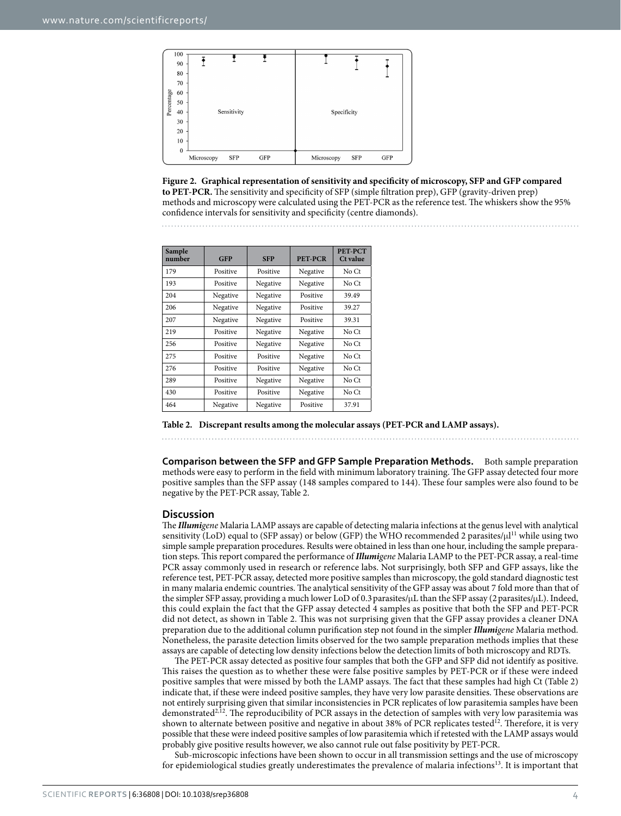

<span id="page-3-0"></span>**Figure 2. Graphical representation of sensitivity and specificity of microscopy, SFP and GFP compared to PET-PCR.** The sensitivity and specificity of SFP (simple filtration prep), GFP (gravity-driven prep) methods and microscopy were calculated using the PET-PCR as the reference test. The whiskers show the 95% confidence intervals for sensitivity and specificity (centre diamonds).

<span id="page-3-1"></span>

| Sample<br>number | <b>GFP</b> | <b>SFP</b> | <b>PET-PCR</b> | PET-PCT<br>Ct value |
|------------------|------------|------------|----------------|---------------------|
| 179              | Positive   | Positive   | Negative       | No Ct               |
| 193              | Positive   | Negative   | Negative       | No Ct               |
| 204              | Negative   | Negative   | Positive       | 39.49               |
| 206              | Negative   | Negative   | Positive       | 39.27               |
| 207              | Negative   | Negative   | Positive       | 39.31               |
| 219              | Positive   | Negative   | Negative       | No Ct               |
| 256              | Positive   | Negative   | Negative       | No Ct               |
| 275              | Positive   | Positive   | Negative       | No Ct               |
| 276              | Positive   | Positive   | Negative       | No Ct               |
| 289              | Positive   | Negative   | Negative       | No Ct               |
| 430              | Positive   | Positive   | Negative       | No Ct               |
| 464              | Negative   | Negative   | Positive       | 37.91               |

**Table 2. Discrepant results among the molecular assays (PET-PCR and LAMP assays).**

**Comparison between the SFP and GFP Sample Preparation Methods.** Both sample preparation methods were easy to perform in the field with minimum laboratory training. The GFP assay detected four more positive samples than the SFP assay (148 samples compared to 144). These four samples were also found to be negative by the PET-PCR assay, [Table 2.](#page-3-1)

#### **Discussion**

The *Illumigene* Malaria LAMP assays are capable of detecting malaria infections at the genus level with analytical sensitivity (LoD) equal to (SFP assay) or below (GFP) the WHO recommended 2 parasites/ $\mu$ <sup>11</sup> while using two simple sample preparation procedures. Results were obtained in less than one hour, including the sample preparation steps. This report compared the performance of *Illumigene* Malaria LAMP to the PET-PCR assay, a real-time PCR assay commonly used in research or reference labs. Not surprisingly, both SFP and GFP assays, like the reference test, PET-PCR assay, detected more positive samples than microscopy, the gold standard diagnostic test in many malaria endemic countries. The analytical sensitivity of the GFP assay was about 7 fold more than that of the simpler SFP assay, providing a much lower LoD of 0.3parasites/μL than the SFP assay (2parasites/μL). Indeed, this could explain the fact that the GFP assay detected 4 samples as positive that both the SFP and PET-PCR did not detect, as shown in [Table 2.](#page-3-1) This was not surprising given that the GFP assay provides a cleaner DNA preparation due to the additional column purification step not found in the simpler *Illumigene* Malaria method. Nonetheless, the parasite detection limits observed for the two sample preparation methods implies that these assays are capable of detecting low density infections below the detection limits of both microscopy and RDTs.

The PET-PCR assay detected as positive four samples that both the GFP and SFP did not identify as positive. This raises the question as to whether these were false positive samples by PET-PCR or if these were indeed positive samples that were missed by both the LAMP assays. The fact that these samples had high Ct [\(Table 2\)](#page-3-1) indicate that, if these were indeed positive samples, they have very low parasite densities. These observations are not entirely surprising given that similar inconsistencies in PCR replicates of low parasitemia samples have been demonstrated<sup>2[,12](#page-6-6)</sup>. The reproducibility of PCR assays in the detection of samples with very low parasitemia was shown to alternate between positive and negative in about 38% of PCR replicates tested<sup>12</sup>. Therefore, it is very possible that these were indeed positive samples of low parasitemia which if retested with the LAMP assays would probably give positive results however, we also cannot rule out false positivity by PET-PCR.

Sub-microscopic infections have been shown to occur in all transmission settings and the use of microscopy for epidemiological studies greatly underestimates the prevalence of malaria infections[13](#page-6-7). It is important that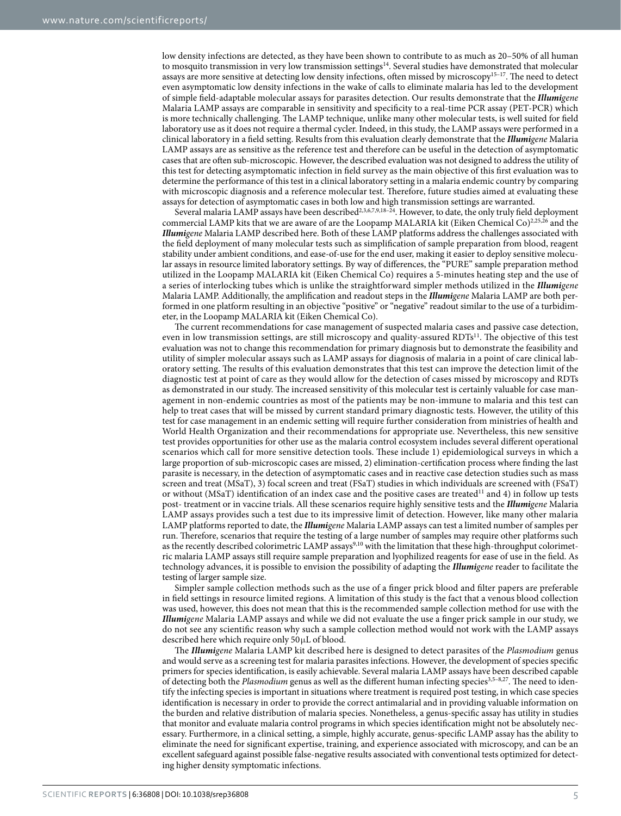low density infections are detected, as they have been shown to contribute to as much as 20–50% of all human to mosquito transmission in very low transmission settings<sup>14</sup>. Several studies have demonstrated that molecular assays are more sensitive at detecting low density infections, often missed by microscopy<sup>15-17</sup>. The need to detect even asymptomatic low density infections in the wake of calls to eliminate malaria has led to the development of simple field-adaptable molecular assays for parasites detection. Our results demonstrate that the *Illumigene* Malaria LAMP assays are comparable in sensitivity and specificity to a real-time PCR assay (PET-PCR) which is more technically challenging. The LAMP technique, unlike many other molecular tests, is well suited for field laboratory use as it does not require a thermal cycler. Indeed, in this study, the LAMP assays were performed in a clinical laboratory in a field setting. Results from this evaluation clearly demonstrate that the *Illumigene* Malaria LAMP assays are as sensitive as the reference test and therefore can be useful in the detection of asymptomatic cases that are often sub-microscopic. However, the described evaluation was not designed to address the utility of this test for detecting asymptomatic infection in field survey as the main objective of this first evaluation was to determine the performance of this test in a clinical laboratory setting in a malaria endemic country by comparing with microscopic diagnosis and a reference molecular test. Therefore, future studies aimed at evaluating these assays for detection of asymptomatic cases in both low and high transmission settings are warranted.

Several malaria LAMP assays have been described<sup>2[,3](#page-6-9),[6](#page-6-10),[7](#page-6-11),[9,](#page-6-3)18-24</sup>. However, to date, the only truly field deployment commercial LAMP kits that we are aware of are the Loopamp MALARIA kit (Eiken Chemical Co)<sup>[2,](#page-6-1)[25,](#page-7-2)26</sup> and the *Illumigene* Malaria LAMP described here. Both of these LAMP platforms address the challenges associated with the field deployment of many molecular tests such as simplification of sample preparation from blood, reagent stability under ambient conditions, and ease-of-use for the end user, making it easier to deploy sensitive molecular assays in resource limited laboratory settings. By way of differences, the "PURE" sample preparation method utilized in the Loopamp MALARIA kit (Eiken Chemical Co) requires a 5-minutes heating step and the use of a series of interlocking tubes which is unlike the straightforward simpler methods utilized in the *Illumigene* Malaria LAMP. Additionally, the amplification and readout steps in the *Illumigene* Malaria LAMP are both performed in one platform resulting in an objective "positive" or "negative" readout similar to the use of a turbidimeter, in the Loopamp MALARIA kit (Eiken Chemical Co).

The current recommendations for case management of suspected malaria cases and passive case detection, even in low transmission settings, are still microscopy and quality-assured RDTs<sup>11</sup>. The objective of this test evaluation was not to change this recommendation for primary diagnosis but to demonstrate the feasibility and utility of simpler molecular assays such as LAMP assays for diagnosis of malaria in a point of care clinical laboratory setting. The results of this evaluation demonstrates that this test can improve the detection limit of the diagnostic test at point of care as they would allow for the detection of cases missed by microscopy and RDTs as demonstrated in our study. The increased sensitivity of this molecular test is certainly valuable for case management in non-endemic countries as most of the patients may be non-immune to malaria and this test can help to treat cases that will be missed by current standard primary diagnostic tests. However, the utility of this test for case management in an endemic setting will require further consideration from ministries of health and World Health Organization and their recommendations for appropriate use. Nevertheless, this new sensitive test provides opportunities for other use as the malaria control ecosystem includes several different operational scenarios which call for more sensitive detection tools. These include 1) epidemiological surveys in which a large proportion of sub-microscopic cases are missed, 2) elimination-certification process where finding the last parasite is necessary, in the detection of asymptomatic cases and in reactive case detection studies such as mass screen and treat (MSaT), 3) focal screen and treat (FSaT) studies in which individuals are screened with (FSaT) or without (MSaT) identification of an index case and the positive cases are treated<sup>11</sup> and 4) in follow up tests post- treatment or in vaccine trials. All these scenarios require highly sensitive tests and the *Illumigene* Malaria LAMP assays provides such a test due to its impressive limit of detection. However, like many other malaria LAMP platforms reported to date, the *Illumigene* Malaria LAMP assays can test a limited number of samples per run. Therefore, scenarios that require the testing of a large number of samples may require other platforms such as the recently described colorimetric LAMP assays<sup>9,[10](#page-6-4)</sup> with the limitation that these high-throughput colorimetric malaria LAMP assays still require sample preparation and lyophilized reagents for ease of use in the field. As technology advances, it is possible to envision the possibility of adapting the *Illumigene* reader to facilitate the testing of larger sample size.

Simpler sample collection methods such as the use of a finger prick blood and filter papers are preferable in field settings in resource limited regions. A limitation of this study is the fact that a venous blood collection was used, however, this does not mean that this is the recommended sample collection method for use with the *Illumigene* Malaria LAMP assays and while we did not evaluate the use a finger prick sample in our study, we do not see any scientific reason why such a sample collection method would not work with the LAMP assays described here which require only 50μL of blood.

The *Illumigene* Malaria LAMP kit described here is designed to detect parasites of the *Plasmodium* genus and would serve as a screening test for malaria parasites infections. However, the development of species specific primers for species identification, is easily achievable. Several malaria LAMP assays have been described capable of detecting both the *Plasmodium* genus as well as the different human infecting species<sup>[3,](#page-6-9)5-8,27</sup>. The need to identify the infecting species is important in situations where treatment is required post testing, in which case species identification is necessary in order to provide the correct antimalarial and in providing valuable information on the burden and relative distribution of malaria species. Nonetheless, a genus-specific assay has utility in studies that monitor and evaluate malaria control programs in which species identification might not be absolutely necessary. Furthermore, in a clinical setting, a simple, highly accurate, genus-specific LAMP assay has the ability to eliminate the need for significant expertise, training, and experience associated with microscopy, and can be an excellent safeguard against possible false-negative results associated with conventional tests optimized for detecting higher density symptomatic infections.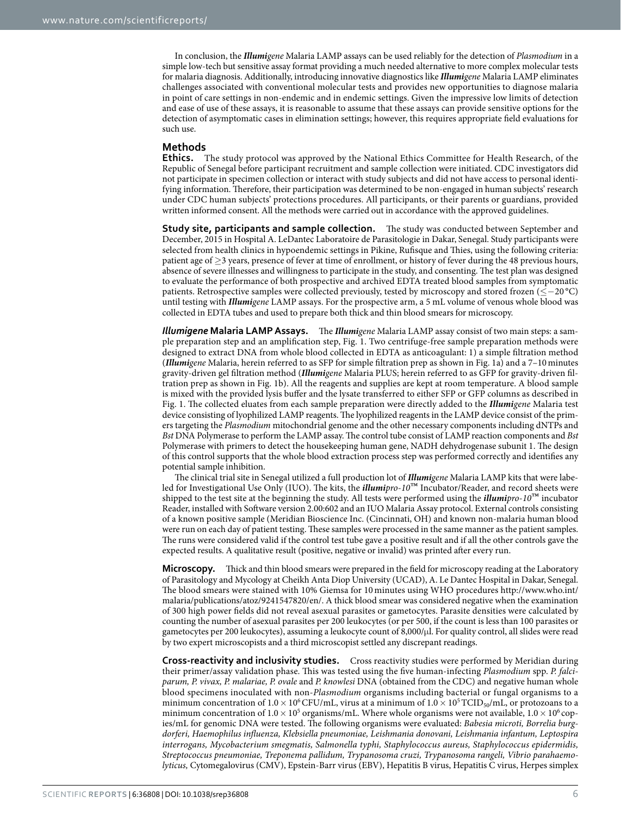In conclusion, the *Illumigene* Malaria LAMP assays can be used reliably for the detection of *Plasmodium* in a simple low-tech but sensitive assay format providing a much needed alternative to more complex molecular tests for malaria diagnosis. Additionally, introducing innovative diagnostics like *Illumigene* Malaria LAMP eliminates challenges associated with conventional molecular tests and provides new opportunities to diagnose malaria in point of care settings in non-endemic and in endemic settings. Given the impressive low limits of detection and ease of use of these assays, it is reasonable to assume that these assays can provide sensitive options for the detection of asymptomatic cases in elimination settings; however, this requires appropriate field evaluations for such use.

### **Methods**

**Ethics.** The study protocol was approved by the National Ethics Committee for Health Research, of the Republic of Senegal before participant recruitment and sample collection were initiated. CDC investigators did not participate in specimen collection or interact with study subjects and did not have access to personal identifying information. Therefore, their participation was determined to be non-engaged in human subjects' research under CDC human subjects' protections procedures. All participants, or their parents or guardians, provided written informed consent. All the methods were carried out in accordance with the approved guidelines.

**Study site, participants and sample collection.** The study was conducted between September and December, 2015 in Hospital A. LeDantec Laboratoire de Parasitologie in Dakar, Senegal. Study participants were selected from health clinics in hypoendemic settings in Pikine, Rufisque and Thies, using the following criteria: patient age of  $\geq$ 3 years, presence of fever at time of enrollment, or history of fever during the 48 previous hours, absence of severe illnesses and willingness to participate in the study, and consenting. The test plan was designed to evaluate the performance of both prospective and archived EDTA treated blood samples from symptomatic patients. Retrospective samples were collected previously, tested by microscopy and stored frozen (≤−20 °C) until testing with *Illumigene* LAMP assays. For the prospective arm, a 5 mL volume of venous whole blood was collected in EDTA tubes and used to prepare both thick and thin blood smears for microscopy.

*Illumigene* **Malaria LAMP Assays.** The *Illumigene* Malaria LAMP assay consist of two main steps: a sample preparation step and an amplification step, [Fig. 1.](#page-1-0) Two centrifuge-free sample preparation methods were designed to extract DNA from whole blood collected in EDTA as anticoagulant: 1) a simple filtration method (*Illumigene* Malaria, herein referred to as SFP for simple filtration prep as shown in [Fig. 1a](#page-1-0)) and a 7–10minutes gravity-driven gel filtration method (*Illumigene* Malaria PLUS; herein referred to as GFP for gravity-driven filtration prep as shown in [Fig. 1b\)](#page-1-0). All the reagents and supplies are kept at room temperature. A blood sample is mixed with the provided lysis buffer and the lysate transferred to either SFP or GFP columns as described in [Fig. 1](#page-1-0). The collected eluates from each sample preparation were directly added to the *Illumigene* Malaria test device consisting of lyophilized LAMP reagents. The lyophilized reagents in the LAMP device consist of the primers targeting the *Plasmodium* mitochondrial genome and the other necessary components including dNTPs and *Bst* DNA Polymerase to perform the LAMP assay. The control tube consist of LAMP reaction components and *Bst* Polymerase with primers to detect the housekeeping human gene, NADH dehydrogenase subunit 1. The design of this control supports that the whole blood extraction process step was performed correctly and identifies any potential sample inhibition.

The clinical trial site in Senegal utilized a full production lot of *Illumigene* Malaria LAMP kits that were labeled for Investigational Use Only (IUO). The kits, the *illumipro-10*™ Incubator/Reader, and record sheets were shipped to the test site at the beginning the study. All tests were performed using the *illumipro-10*™ incubator Reader, installed with Software version 2.00:602 and an IUO Malaria Assay protocol. External controls consisting of a known positive sample (Meridian Bioscience Inc. (Cincinnati, OH) and known non-malaria human blood were run on each day of patient testing. These samples were processed in the same manner as the patient samples. The runs were considered valid if the control test tube gave a positive result and if all the other controls gave the expected results. A qualitative result (positive, negative or invalid) was printed after every run.

**Microscopy.** Thick and thin blood smears were prepared in the field for microscopy reading at the Laboratory of Parasitology and Mycology at Cheikh Anta Diop University (UCAD), A. Le Dantec Hospital in Dakar, Senegal. The blood smears were stained with 10% Giemsa for 10minutes using WHO procedures [http://www.who.int/](http://www.who.int/malaria/publications/atoz/9241547820/en/) [malaria/publications/atoz/9241547820/en/.](http://www.who.int/malaria/publications/atoz/9241547820/en/) A thick blood smear was considered negative when the examination of 300 high power fields did not reveal asexual parasites or gametocytes. Parasite densities were calculated by counting the number of asexual parasites per 200 leukocytes (or per 500, if the count is less than 100 parasites or gametocytes per 200 leukocytes), assuming a leukocyte count of 8,000/μl. For quality control, all slides were read by two expert microscopists and a third microscopist settled any discrepant readings.

**Cross-reactivity and inclusivity studies.** Cross reactivity studies were performed by Meridian during their primer/assay validation phase. This was tested using the five human-infecting *Plasmodium* spp. *P. falciparum, P. vivax, P. malariae, P. ovale* and *P. knowlesi* DNA (obtained from the CDC) and negative human whole blood specimens inoculated with non-*Plasmodium* organisms including bacterial or fungal organisms to a minimum concentration of  $1.0 \times 10^6$  CFU/mL, virus at a minimum of  $1.0 \times 10^5$  TCID<sub>50</sub>/mL, or protozoans to a minimum concentration of  $1.0 \times 10^5$  organisms/mL. Where whole organisms were not available,  $1.0 \times 10^6$  copies/mL for genomic DNA were tested. The following organisms were evaluated: *Babesia microti, Borrelia burgdorferi, Haemophilus influenza, Klebsiella pneumoniae, Leishmania donovani, Leishmania infantum, Leptospira interrogans, Mycobacterium smegmatis, Salmonella typhi, Staphylococcus aureus, Staphylococcus epidermidis, Streptococcus pneumoniae, Treponema pallidum, Trypanosoma cruzi, Trypanosoma rangeli, Vibrio parahaemolyticus,* Cytomegalovirus (CMV), Epstein-Barr virus (EBV), Hepatitis B virus, Hepatitis C virus, Herpes simplex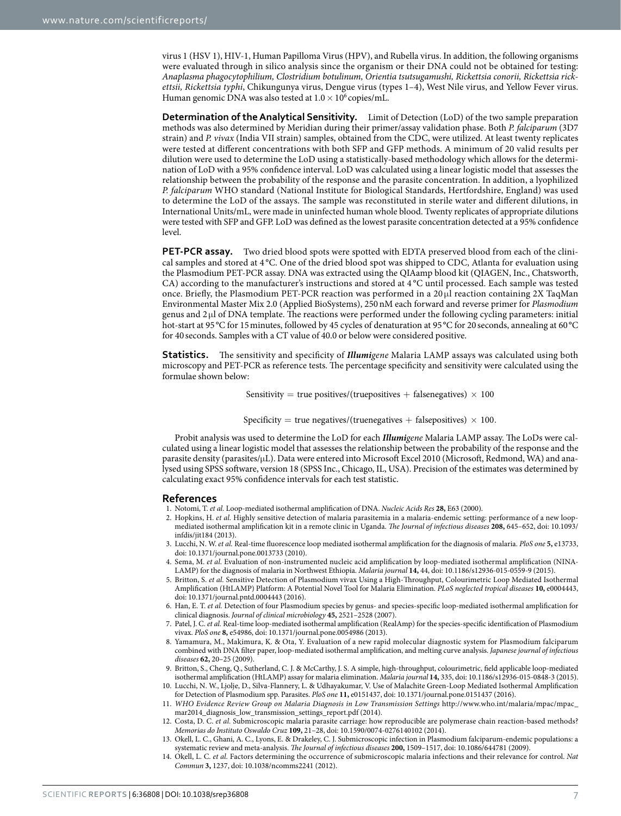virus 1 (HSV 1), HIV-1, Human Papilloma Virus (HPV), and Rubella virus. In addition, the following organisms were evaluated through in silico analysis since the organism or their DNA could not be obtained for testing: *Anaplasma phagocytophilium, Clostridium botulinum, Orientia tsutsugamushi, Rickettsia conorii, Rickettsia rickettsii, Rickettsia typhi*, Chikungunya virus, Dengue virus (types 1–4), West Nile virus, and Yellow Fever virus. Human genomic DNA was also tested at  $1.0 \times 10^6$  copies/mL.

**Determination of the Analytical Sensitivity.** Limit of Detection (LoD) of the two sample preparation methods was also determined by Meridian during their primer/assay validation phase. Both *P. falciparum* (3D7 strain) and *P. vivax* (India VII strain) samples, obtained from the CDC, were utilized. At least twenty replicates were tested at different concentrations with both SFP and GFP methods. A minimum of 20 valid results per dilution were used to determine the LoD using a statistically-based methodology which allows for the determination of LoD with a 95% confidence interval. LoD was calculated using a linear logistic model that assesses the relationship between the probability of the response and the parasite concentration. In addition, a lyophilized *P. falciparum* WHO standard (National Institute for Biological Standards, Hertfordshire, England) was used to determine the LoD of the assays. The sample was reconstituted in sterile water and different dilutions, in International Units/mL, were made in uninfected human whole blood. Twenty replicates of appropriate dilutions were tested with SFP and GFP. LoD was defined as the lowest parasite concentration detected at a 95% confidence level.

**PET-PCR assay.** Two dried blood spots were spotted with EDTA preserved blood from each of the clinical samples and stored at 4 °C. One of the dried blood spot was shipped to CDC, Atlanta for evaluation using the Plasmodium PET-PCR assay. DNA was extracted using the QIAamp blood kit (QIAGEN, Inc., Chatsworth, CA) according to the manufacturer's instructions and stored at 4 °C until processed. Each sample was tested once. Briefly, the Plasmodium PET-PCR reaction was performed in a  $20 \mu$ l reaction containing 2X TaqMan Environmental Master Mix 2.0 (Applied BioSystems), 250nM each forward and reverse primer for *Plasmodium* genus and 2 μl of DNA template. The reactions were performed under the following cycling parameters: initial hot-start at 95 °C for 15 minutes, followed by 45 cycles of denaturation at 95 °C for 20 seconds, annealing at 60 °C for 40 seconds. Samples with a CT value of 40.0 or below were considered positive.

**Statistics.** The sensitivity and specificity of *Illumigene* Malaria LAMP assays was calculated using both microscopy and PET-PCR as reference tests. The percentage specificity and sensitivity were calculated using the formulae shown below:

Sensitivity = true positives/(truepositives + falsenegatives)  $\times$  100

Specificity = true negatives/(truenegatives + falsepositives)  $\times$  100.

Probit analysis was used to determine the LoD for each *Illumigene* Malaria LAMP assay. The LoDs were calculated using a linear logistic model that assesses the relationship between the probability of the response and the parasite density (parasites/μL). Data were entered into Microsoft Excel 2010 (Microsoft, Redmond, WA) and analysed using SPSS software, version 18 (SPSS Inc., Chicago, IL, USA). Precision of the estimates was determined by calculating exact 95% confidence intervals for each test statistic.

#### **References**

- <span id="page-6-0"></span>1. Notomi, T. *et al.* Loop-mediated isothermal amplification of DNA. *Nucleic Acids Res* **28,** E63 (2000).
- <span id="page-6-1"></span>2. Hopkins, H. *et al.* Highly sensitive detection of malaria parasitemia in a malaria-endemic setting: performance of a new loopmediated isothermal amplification kit in a remote clinic in Uganda. *The Journal of infectious diseases* **208,** 645–652, doi: 10.1093/ infdis/jit184 (2013).
- <span id="page-6-9"></span>3. Lucchi, N. W. *et al.* Real-time fluorescence loop mediated isothermal amplification for the diagnosis of malaria. *PloS one* **5,** e13733, doi: 10.1371/journal.pone.0013733 (2010).
- 4. Sema, M. *et al.* Evaluation of non-instrumented nucleic acid amplification by loop-mediated isothermal amplification (NINA-LAMP) for the diagnosis of malaria in Northwest Ethiopia. *Malaria journal* **14,** 44, doi: 10.1186/s12936-015-0559-9 (2015).
- <span id="page-6-2"></span>5. Britton, S. *et al.* Sensitive Detection of Plasmodium vivax Using a High-Throughput, Colourimetric Loop Mediated Isothermal Amplification (HtLAMP) Platform: A Potential Novel Tool for Malaria Elimination. *PLoS neglected tropical diseases* **10,** e0004443, doi: 10.1371/journal.pntd.0004443 (2016).
- <span id="page-6-10"></span>6. Han, E. T. *et al.* Detection of four Plasmodium species by genus- and species-specific loop-mediated isothermal amplification for clinical diagnosis. *Journal of clinical microbiology* **45,** 2521–2528 (2007).
- <span id="page-6-11"></span>7. Patel, J. C. *et al.* Real-time loop-mediated isothermal amplification (RealAmp) for the species-specific identification of Plasmodium vivax. *PloS one* **8,** e54986, doi: 10.1371/journal.pone.0054986 (2013).
- 8. Yamamura, M., Makimura, K. & Ota, Y. Evaluation of a new rapid molecular diagnostic system for Plasmodium falciparum combined with DNA filter paper, loop-mediated isothermal amplification, and melting curve analysis. *Japanese journal of infectious diseases* **62,** 20–25 (2009).
- <span id="page-6-3"></span>9. Britton, S., Cheng, Q., Sutherland, C. J. & McCarthy, J. S. A simple, high-throughput, colourimetric, field applicable loop-mediated isothermal amplification (HtLAMP) assay for malaria elimination. *Malaria journal* **14,** 335, doi: 10.1186/s12936-015-0848-3 (2015).
- <span id="page-6-4"></span>10. Lucchi, N. W., Ljolje, D., Silva-Flannery, L. & Udhayakumar, V. Use of Malachite Green-Loop Mediated Isothermal Amplification for Detection of Plasmodium spp. Parasites. *PloS one* **11,** e0151437, doi: 10.1371/journal.pone.0151437 (2016).
- <span id="page-6-5"></span>11. *WHO Evidence Review Group on Malaria Diagnosis in Low Transmission Settings* [http://www.who.int/malaria/mpac/mpac\\_](http://www.who.int/malaria/mpac/mpac_mar2014_diagnosis_low_transmission_settings_report.pdf) [mar2014\\_diagnosis\\_low\\_transmission\\_settings\\_report.pdf](http://www.who.int/malaria/mpac/mpac_mar2014_diagnosis_low_transmission_settings_report.pdf) (2014).
- <span id="page-6-6"></span>12. Costa, D. C. *et al.* Submicroscopic malaria parasite carriage: how reproducible are polymerase chain reaction-based methods? *Memorias do Instituto Oswaldo Cruz* **109,** 21–28, doi: 10.1590/0074-0276140102 (2014).
- <span id="page-6-7"></span>13. Okell, L. C., Ghani, A. C., Lyons, E. & Drakeley, C. J. Submicroscopic infection in Plasmodium falciparum-endemic populations: a systematic review and meta-analysis. *The Journal of infectious diseases* **200,** 1509–1517, doi: 10.1086/644781 (2009).
- <span id="page-6-8"></span>14. Okell, L. C. *et al.* Factors determining the occurrence of submicroscopic malaria infections and their relevance for control. *Nat Commun* **3,** 1237, doi: 10.1038/ncomms2241 (2012).